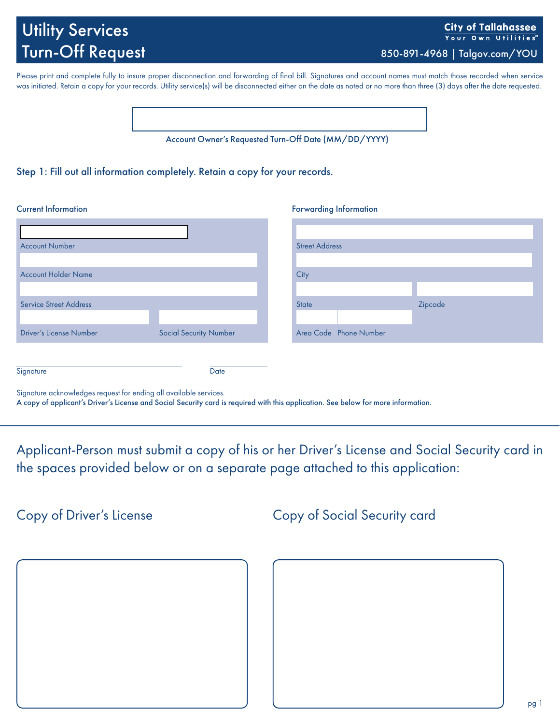# Utility Services Turn-Off Request 850-891-4968 | Talgov.com/YOU

**City of Tallahassee** Your Own Utilities

Please print and complete fully to insure proper disconnection and forwarding of final bill. Signatures and account names must match those recorded when service was initiated. Retain a copy for your records. Utility service(s) will be disconnected either on the date as noted or no more than three (3) days after the date requested.

Account Owner's Requested Turn-Off Date (MM/DD/YYYY)

### Step 1: Fill out all information completely. Retain a copy for your records.

#### **Current Information**

| <b>Forwarding Information</b> |  |  |
|-------------------------------|--|--|
|                               |  |  |

| <b>Account Number</b>          |                               | <b>Street Address</b>  |         |  |
|--------------------------------|-------------------------------|------------------------|---------|--|
|                                |                               |                        |         |  |
| <b>Account Holder Name</b>     |                               | City                   |         |  |
|                                |                               |                        |         |  |
| <b>Service Street Address</b>  |                               | <b>State</b>           | Zipcode |  |
|                                |                               |                        |         |  |
| <b>Driver's License Number</b> | <b>Social Security Number</b> | Area Code Phone Number |         |  |
|                                |                               |                        |         |  |
|                                |                               |                        |         |  |
| Signature                      | Date                          |                        |         |  |

Signature acknowledges request for ending all available services.

A copy of applicant's Driver's License and Social Security card is required with this application. See below for more information.

Applicant-Person must submit a copy of his or her Driver's License and Social Security card in the spaces provided below or on a separate page attached to this application:

Copy of Driver's License

Copy of Social Security card

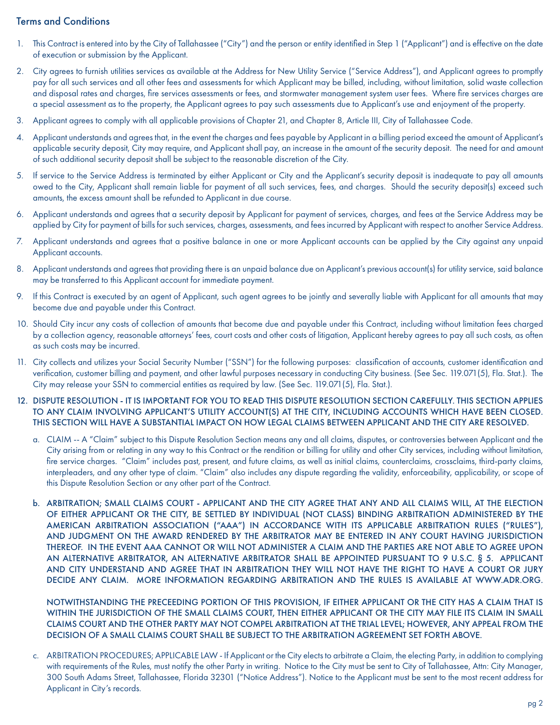## Terms and Conditions

- 1. This Contract is entered into by the City of Tallahassee ("City") and the person or entity identified in Step 1 ("Applicant") and is effective on the date of execution or submission by the Applicant.
- 2. City agrees to furnish utilities services as available at the Address for New Utility Service ("Service Address"), and Applicant agrees to promptly pay for all such services and all other fees and assessments for which Applicant may be billed, including, without limitation, solid waste collection and disposal rates and charges, fire services assessments or fees, and stormwater management system user fees. Where fire services charges are a special assessment as to the property, the Applicant agrees to pay such assessments due to Applicant's use and enjoyment of the property.
- 3. Applicant agrees to comply with all applicable provisions of Chapter 21, and Chapter 8, Article III, City of Tallahassee Code.
- 4. Applicant understands and agrees that, in the event the charges and fees payable by Applicant in a billing period exceed the amount of Applicant's applicable security deposit, City may require, and Applicant shall pay, an increase in the amount of the security deposit. The need for and amount of such additional security deposit shall be subject to the reasonable discretion of the City.
- 5. If service to the Service Address is terminated by either Applicant or City and the Applicant's security deposit is inadequate to pay all amounts owed to the City, Applicant shall remain liable for payment of all such services, fees, and charges. Should the security deposit(s) exceed such amounts, the excess amount shall be refunded to Applicant in due course.
- 6. Applicant understands and agrees that a security deposit by Applicant for payment of services, charges, and fees at the Service Address may be applied by City for payment of bills for such services, charges, assessments, and fees incurred by Applicant with respect to another Service Address.
- 7. Applicant understands and agrees that a positive balance in one or more Applicant accounts can be applied by the City against any unpaid Applicant accounts.
- 8. Applicant understands and agrees that providing there is an unpaid balance due on Applicant's previous account(s) for utility service, said balance may be transferred to this Applicant account for immediate payment.
- 9. If this Contract is executed by an agent of Applicant, such agent agrees to be jointly and severally liable with Applicant for all amounts that may become due and payable under this Contract.
- 10. Should City incur any costs of collection of amounts that become due and payable under this Contract, including without limitation fees charged by a collection agency, reasonable attorneys' fees, court costs and other costs of litigation, Applicant hereby agrees to pay all such costs, as often as such costs may be incurred.
- 11. City collects and utilizes your Social Security Number ("SSN") for the following purposes: classification of accounts, customer identification and verification, customer billing and payment, and other lawful purposes necessary in conducting City business. (See Sec. 119.071(5), Fla. Stat.). The City may release your SSN to commercial entities as required by law. (See Sec. 119.071(5), Fla. Stat.).

#### 12. DISPUTE RESOLUTION - IT IS IMPORTANT FOR YOU TO READ THIS DISPUTE RESOLUTION SECTION CAREFULLY. THIS SECTION APPLIES TO ANY CLAIM INVOLVING APPLICANT'S UTILITY ACCOUNT(S) AT THE CITY, INCLUDING ACCOUNTS WHICH HAVE BEEN CLOSED. THIS SECTION WILL HAVE A SUBSTANTIAL IMPACT ON HOW LEGAL CLAIMS BETWEEN APPLICANT AND THE CITY ARE RESOLVED.

- a. CLAIM -- A "Claim" subject to this Dispute Resolution Section means any and all claims, disputes, or controversies between Applicant and the City arising from or relating in any way to this Contract or the rendition or billing for utility and other City services, including without limitation, fire service charges. "Claim" includes past, present, and future claims, as well as initial claims, counterclaims, crossclaims, third-party claims, interpleaders, and any other type of claim. "Claim" also includes any dispute regarding the validity, enforceability, applicability, or scope of this Dispute Resolution Section or any other part of the Contract.
- b. ARBITRATION; SMALL CLAIMS COURT APPLICANT AND THE CITY AGREE THAT ANY AND ALL CLAIMS WILL, AT THE ELECTION OF EITHER APPLICANT OR THE CITY, BE SETTLED BY INDIVIDUAL (NOT CLASS) BINDING ARBITRATION ADMINISTERED BY THE AMERICAN ARBITRATION ASSOCIATION ("AAA") IN ACCORDANCE WITH ITS APPLICABLE ARBITRATION RULES ("RULES"), AND JUDGMENT ON THE AWARD RENDERED BY THE ARBITRATOR MAY BE ENTERED IN ANY COURT HAVING JURISDICTION THEREOF. IN THE EVENT AAA CANNOT OR WILL NOT ADMINISTER A CLAIM AND THE PARTIES ARE NOT ABLE TO AGREE UPON AN ALTERNATIVE ARBITRATOR, AN ALTERNATIVE ARBITRATOR SHALL BE APPOINTED PURSUANT TO 9 U.S.C. § 5. APPLICANT AND CITY UNDERSTAND AND AGREE THAT IN ARBITRATION THEY WILL NOT HAVE THE RIGHT TO HAVE A COURT OR JURY DECIDE ANY CLAIM. MORE INFORMATION REGARDING ARBITRATION AND THE RULES IS AVAILABLE AT WWW.ADR.ORG.

NOTWITHSTANDING THE PRECEEDING PORTION OF THIS PROVISION, IF EITHER APPLICANT OR THE CITY HAS A CLAIM THAT IS WITHIN THE JURISDICTION OF THE SMALL CLAIMS COURT, THEN EITHER APPLICANT OR THE CITY MAY FILE ITS CLAIM IN SMALL CLAIMS COURT AND THE OTHER PARTY MAY NOT COMPEL ARBITRATION AT THE TRIAL LEVEL; HOWEVER, ANY APPEAL FROM THE DECISION OF A SMALL CLAIMS COURT SHALL BE SUBJECT TO THE ARBITRATION AGREEMENT SET FORTH ABOVE.

c. ARBITRATION PROCEDURES; APPLICABLE LAW - If Applicant or the City elects to arbitrate a Claim, the electing Party, in addition to complying with requirements of the Rules, must notify the other Party in writing. Notice to the City must be sent to City of Tallahassee, Attn: City Manager, 300 South Adams Street, Tallahassee, Florida 32301 ("Notice Address"). Notice to the Applicant must be sent to the most recent address for Applicant in City's records.